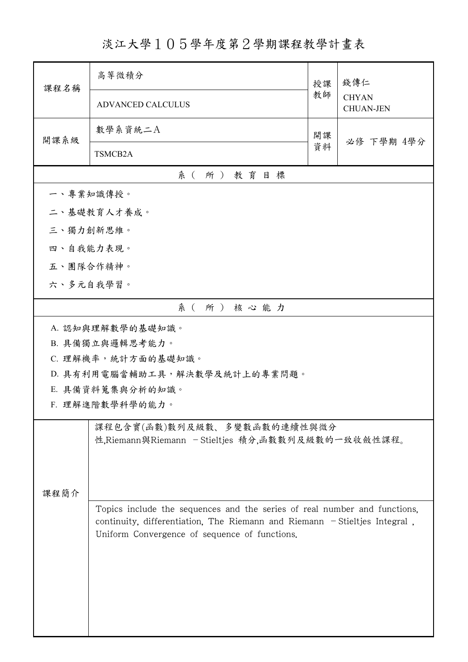## 淡江大學105學年度第2學期課程教學計畫表

| 課程名稱                                                                             | 高等微積分                                                                                                                         | 授課 | 錢傳仁<br><b>CHYAN</b><br><b>CHUAN-JEN</b> |  |  |
|----------------------------------------------------------------------------------|-------------------------------------------------------------------------------------------------------------------------------|----|-----------------------------------------|--|--|
|                                                                                  | <b>ADVANCED CALCULUS</b>                                                                                                      | 教師 |                                         |  |  |
| 開課系級                                                                             | 數學系資統二A                                                                                                                       | 開課 | 必修 下學期 4學分                              |  |  |
|                                                                                  | TSMCB2A                                                                                                                       | 資料 |                                         |  |  |
| 系(所)教育目標                                                                         |                                                                                                                               |    |                                         |  |  |
| 一、專業知識傳授。                                                                        |                                                                                                                               |    |                                         |  |  |
|                                                                                  | 二、基礎教育人才養成。                                                                                                                   |    |                                         |  |  |
| 三、獨力創新思維。                                                                        |                                                                                                                               |    |                                         |  |  |
| 四、自我能力表現。                                                                        |                                                                                                                               |    |                                         |  |  |
| 五、團隊合作精神。                                                                        |                                                                                                                               |    |                                         |  |  |
| 六、多元自我學習。                                                                        |                                                                                                                               |    |                                         |  |  |
|                                                                                  | 系(所)核心能力                                                                                                                      |    |                                         |  |  |
|                                                                                  | A. 認知與理解數學的基礎知識。                                                                                                              |    |                                         |  |  |
|                                                                                  | B. 具備獨立與邏輯思考能力。                                                                                                               |    |                                         |  |  |
|                                                                                  | C. 理解機率,統計方面的基礎知識。                                                                                                            |    |                                         |  |  |
|                                                                                  | D. 具有利用電腦當輔助工具,解決數學及統計上的專業問題。                                                                                                 |    |                                         |  |  |
|                                                                                  | E. 具備資料蒐集與分析的知識。<br>F. 理解進階數學科學的能力。                                                                                           |    |                                         |  |  |
|                                                                                  |                                                                                                                               |    |                                         |  |  |
| 課程包含實(函數)數列及級數、多變數函數的連續性與微分<br>性,Riemann與Riemann - Stieltjes 積分,函數數列及級數的一致收斂性課程。 |                                                                                                                               |    |                                         |  |  |
|                                                                                  |                                                                                                                               |    |                                         |  |  |
|                                                                                  |                                                                                                                               |    |                                         |  |  |
| 課程簡介                                                                             |                                                                                                                               |    |                                         |  |  |
|                                                                                  | Topics include the sequences and the series of real number and functions,                                                     |    |                                         |  |  |
|                                                                                  | continuity, differentiation, The Riemann and Riemann $-$ Stieltjes Integral,<br>Uniform Convergence of sequence of functions. |    |                                         |  |  |
|                                                                                  |                                                                                                                               |    |                                         |  |  |
|                                                                                  |                                                                                                                               |    |                                         |  |  |
|                                                                                  |                                                                                                                               |    |                                         |  |  |
|                                                                                  |                                                                                                                               |    |                                         |  |  |
|                                                                                  |                                                                                                                               |    |                                         |  |  |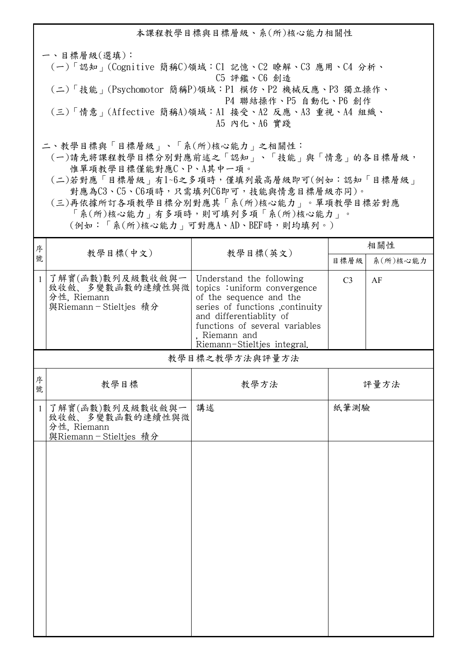本課程教學目標與目標層級、系(所)核心能力相關性 一、目標層級(選填): (一)「認知」(Cognitive 簡稱C)領域:C1 記憶、C2 瞭解、C3 應用、C4 分析、 C5 評鑑、C6 創造 (二)「技能」(Psychomotor 簡稱P)領域:P1 模仿、P2 機械反應、P3 獨立操作、 P4 聯結操作、P5 自動化、P6 創作 (三)「情意」(Affective 簡稱A)領域:A1 接受、A2 反應、A3 重視、A4 組織、 A5 內化、A6 實踐 二、教學目標與「目標層級」、「系(所)核心能力」之相關性: (一)請先將課程教學目標分別對應前述之「認知」、「技能」與「情意」的各目標層級,

 惟單項教學目標僅能對應C、P、A其中一項。 (二)若對應「目標層級」有1~6之多項時,僅填列最高層級即可(例如:認知「目標層級」

對應為C3、C5、C6項時,只需填列C6即可,技能與情意目標層級亦同)。 (三)再依據所訂各項教學目標分別對應其「系(所)核心能力」。單項教學目標若對應 「系(所)核心能力」有多項時,則可填列多項「系(所)核心能力」。

(例如:「系(所)核心能力」可對應A、AD、BEF時,則均填列。)

| 序            |                                                                             | 教學目標(英文)                                                                                                                                                                                                                             | 相關性            |          |  |
|--------------|-----------------------------------------------------------------------------|--------------------------------------------------------------------------------------------------------------------------------------------------------------------------------------------------------------------------------------|----------------|----------|--|
| 號            | 教學目標(中文)                                                                    |                                                                                                                                                                                                                                      | 目標層級           | 系(所)核心能力 |  |
| $\mathbf{1}$ | 了解實(函數)數列及級數收斂與一<br>致收斂、多變數函數的連續性與微<br>分性, Riemann<br>與Riemann-Stieltjes 積分 | Understand the following<br>topics : uniform convergence<br>of the sequence and the<br>series of functions , continuity<br>and differentiablity of<br>functions of several variables<br>. Riemann and<br>Riemann-Stieltjes integral. | C <sub>3</sub> | AF       |  |
|              |                                                                             | 教學目標之教學方法與評量方法                                                                                                                                                                                                                       |                |          |  |
| 序<br>號       | 教學目標                                                                        | 教學方法                                                                                                                                                                                                                                 |                | 評量方法     |  |
| $\mathbf{1}$ | 了解實(函數)數列及級數收斂與一<br>致收斂、多變數函數的連續性與微<br>分性, Riemann<br>與Riemann-Stieltjes 積分 | 講述                                                                                                                                                                                                                                   | 紙筆測驗           |          |  |
|              |                                                                             |                                                                                                                                                                                                                                      |                |          |  |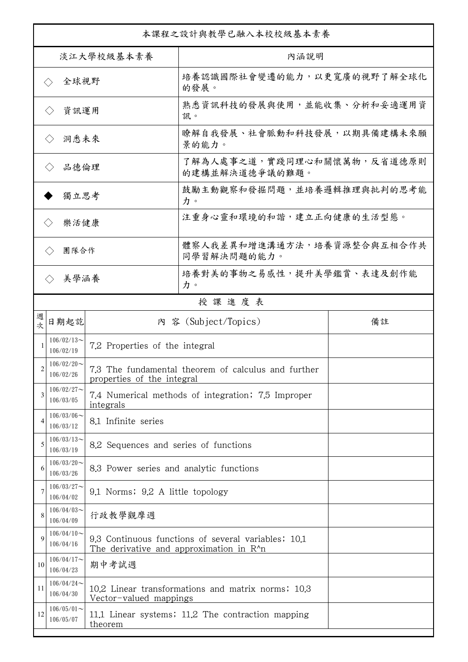| 本課程之設計與教學已融入本校校級基本素養        |                                                                     |                                         |                                                                                                |    |  |
|-----------------------------|---------------------------------------------------------------------|-----------------------------------------|------------------------------------------------------------------------------------------------|----|--|
| 淡江大學校級基本素養                  |                                                                     |                                         | 內涵說明                                                                                           |    |  |
| 全球視野<br>$\langle \rangle$   |                                                                     |                                         | 培養認識國際社會變遷的能力,以更寬廣的視野了解全球化<br>的發展。                                                             |    |  |
| 資訊運用<br>$\langle \ \rangle$ |                                                                     |                                         | 熟悉資訊科技的發展與使用,並能收集、分析和妥適運用資<br>訊。                                                               |    |  |
|                             | 洞悉未來<br>$\langle \ \rangle$                                         |                                         | 瞭解自我發展、社會脈動和科技發展,以期具備建構未來願<br>景的能力。                                                            |    |  |
| 品德倫理                        |                                                                     |                                         | 了解為人處事之道,實踐同理心和關懷萬物,反省道德原則<br>的建構並解決道德爭議的難題。                                                   |    |  |
| 獨立思考                        |                                                                     |                                         | 鼓勵主動觀察和發掘問題,並培養邏輯推理與批判的思考能<br>力。                                                               |    |  |
|                             | 樂活健康<br>$\langle \, \rangle$                                        |                                         | 注重身心靈和環境的和諧,建立正向健康的生活型態。                                                                       |    |  |
|                             | 團隊合作<br>$\langle \ \rangle$                                         |                                         | 體察人我差異和增進溝通方法,培養資源整合與互相合作共<br>同學習解決問題的能力。                                                      |    |  |
|                             | 美學涵養                                                                |                                         | 培養對美的事物之易感性,提升美學鑑賞、表達及創作能<br>力。                                                                |    |  |
|                             |                                                                     |                                         | 授課進度表                                                                                          |    |  |
| 週<br>欤                      | 日期起訖                                                                |                                         | 內 容 (Subject/Topics)                                                                           | 備註 |  |
|                             | $106/02/13$ ~<br>106/02/19                                          | 7.2 Properties of the integral          |                                                                                                |    |  |
|                             | $106/02/20$ ~<br>106/02/26                                          | properties of the integral              | 7.3 The fundamental theorem of calculus and further                                            |    |  |
| 3                           | $106/02/27$ ~<br>106/03/05                                          | integrals                               | 7.4 Numerical methods of integration; 7.5 Improper                                             |    |  |
| 4                           | $106/03/06$ ~<br>106/03/12                                          | 8.1 Infinite series                     |                                                                                                |    |  |
| 5                           | $106/03/13$ ~<br>8.2 Sequences and series of functions<br>106/03/19 |                                         |                                                                                                |    |  |
| 6                           | $106/03/20$ ~<br>106/03/26                                          | 8.3 Power series and analytic functions |                                                                                                |    |  |
|                             | $106/03/27$ ~<br>106/04/02                                          | 9.1 Norms; 9.2 A little topology        |                                                                                                |    |  |
| 8                           | $106/04/03$ ~<br>106/04/09                                          | 行政教學觀摩週                                 |                                                                                                |    |  |
| $\mathbf Q$                 | $106/04/10 \sim$<br>106/04/16                                       |                                         | 9.3 Continuous functions of several variables; 10.1<br>The derivative and approximation in R^n |    |  |
| 10                          | $106/04/17$ ~<br>106/04/23                                          | 期中考試週                                   |                                                                                                |    |  |
| 11                          | $106/04/24$ ~<br>106/04/30                                          | Vector-valued mappings                  | 10.2 Linear transformations and matrix norms; 10.3                                             |    |  |
| 12                          | $106/05/01$ ~<br>106/05/07                                          | theorem                                 | 11.1 Linear systems; 11.2 The contraction mapping                                              |    |  |